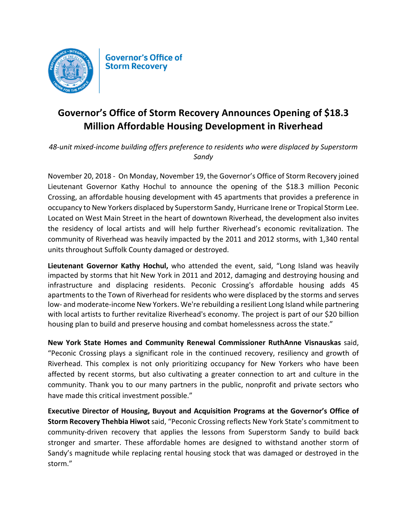

## Governor's Office of Storm Recovery Announces Opening of \$18.3 **Million Affordable Housing Development in Riverhead**

*48-unit mixed-income building offers preference to residents who were displaced by Superstorm Sandy*

November 20, 2018 - On Monday, November 19, the Governor's Office of Storm Recovery joined Lieutenant Governor Kathy Hochul to announce the opening of the \$18.3 million Peconic Crossing, an affordable housing development with 45 apartments that provides a preference in occupancy to New Yorkers displaced by Superstorm Sandy, Hurricane Irene or Tropical Storm Lee. Located on West Main Street in the heart of downtown Riverhead, the development also invites the residency of local artists and will help further Riverhead's economic revitalization. The community of Riverhead was heavily impacted by the 2011 and 2012 storms, with 1,340 rental units throughout Suffolk County damaged or destroyed.

**Lieutenant Governor Kathy Hochul,** who attended the event, said, "Long Island was heavily impacted by storms that hit New York in 2011 and 2012, damaging and destroying housing and infrastructure and displacing residents. Peconic Crossing's affordable housing adds 45 apartments to the Town of Riverhead for residents who were displaced by the storms and serves low- and moderate-income New Yorkers. We're rebuilding a resilient Long Island while partnering with local artists to further revitalize Riverhead's economy. The project is part of our \$20 billion housing plan to build and preserve housing and combat homelessness across the state."

**New York State Homes and Community Renewal Commissioner RuthAnne Visnauskas** said, "Peconic Crossing plays a significant role in the continued recovery, resiliency and growth of Riverhead. This complex is not only prioritizing occupancy for New Yorkers who have been affected by recent storms, but also cultivating a greater connection to art and culture in the community. Thank you to our many partners in the public, nonprofit and private sectors who have made this critical investment possible."

**Executive Director of Housing, Buyout and Acquisition Programs at the Governor's Office of Storm Recovery Thehbia Hiwot** said, "Peconic Crossing reflects New York State's commitment to community-driven recovery that applies the lessons from Superstorm Sandy to build back stronger and smarter. These affordable homes are designed to withstand another storm of Sandy's magnitude while replacing rental housing stock that was damaged or destroyed in the storm."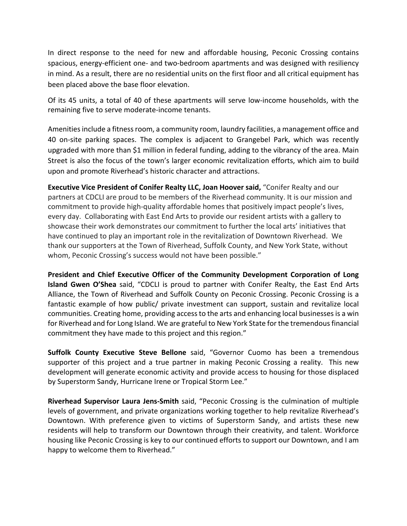In direct response to the need for new and affordable housing, Peconic Crossing contains spacious, energy-efficient one- and two-bedroom apartments and was designed with resiliency in mind. As a result, there are no residential units on the first floor and all critical equipment has been placed above the base floor elevation.

Of its 45 units, a total of 40 of these apartments will serve low-income households, with the remaining five to serve moderate-income tenants.

Amenities include a fitness room, a community room, laundry facilities, a management office and 40 on-site parking spaces. The complex is adjacent to Grangebel Park, which was recently upgraded with more than \$1 million in federal funding, adding to the vibrancy of the area. Main Street is also the focus of the town's larger economic revitalization efforts, which aim to build upon and promote Riverhead's historic character and attractions.

**Executive Vice President of Conifer Realty LLC, Joan Hoover said,** "Conifer Realty and our partners at CDCLI are proud to be members of the Riverhead community. It is our mission and commitment to provide high-quality affordable homes that positively impact people's lives, every day. Collaborating with East End Arts to provide our resident artists with a gallery to showcase their work demonstrates our commitment to further the local arts' initiatives that have continued to play an important role in the revitalization of Downtown Riverhead. We thank our supporters at the Town of Riverhead, Suffolk County, and New York State, without whom, Peconic Crossing's success would not have been possible."

**President and Chief Executive Officer of the Community Development Corporation of Long Island Gwen O'Shea** said, "CDCLI is proud to partner with Conifer Realty, the East End Arts Alliance, the Town of Riverhead and Suffolk County on Peconic Crossing. Peconic Crossing is a fantastic example of how public/ private investment can support, sustain and revitalize local communities. Creating home, providing access to the arts and enhancing local businesses is a win for Riverhead and for Long Island. We are grateful to New York State for the tremendous financial commitment they have made to this project and this region."

**Suffolk County Executive Steve Bellone** said, "Governor Cuomo has been a tremendous supporter of this project and a true partner in making Peconic Crossing a reality. This new development will generate economic activity and provide access to housing for those displaced by Superstorm Sandy, Hurricane Irene or Tropical Storm Lee."

Riverhead Supervisor Laura Jens-Smith said, "Peconic Crossing is the culmination of multiple levels of government, and private organizations working together to help revitalize Riverhead's Downtown. With preference given to victims of Superstorm Sandy, and artists these new residents will help to transform our Downtown through their creativity, and talent. Workforce housing like Peconic Crossing is key to our continued efforts to support our Downtown, and I am happy to welcome them to Riverhead."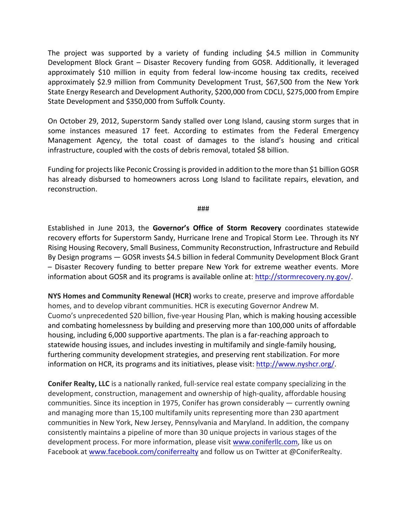The project was supported by a variety of funding including \$4.5 million in Community Development Block Grant - Disaster Recovery funding from GOSR. Additionally, it leveraged approximately \$10 million in equity from federal low-income housing tax credits, received approximately \$2.9 million from Community Development Trust, \$67,500 from the New York State Energy Research and Development Authority, \$200,000 from CDCLI, \$275,000 from Empire State Development and \$350,000 from Suffolk County.

On October 29, 2012, Superstorm Sandy stalled over Long Island, causing storm surges that in some instances measured 17 feet. According to estimates from the Federal Emergency Management Agency, the total coast of damages to the island's housing and critical infrastructure, coupled with the costs of debris removal, totaled \$8 billion.

Funding for projects like Peconic Crossing is provided in addition to the more than \$1 billion GOSR has already disbursed to homeowners across Long Island to facilitate repairs, elevation, and reconstruction.

###

Established in June 2013, the **Governor's Office of Storm Recovery** coordinates statewide recovery efforts for Superstorm Sandy, Hurricane Irene and Tropical Storm Lee. Through its NY Rising Housing Recovery, Small Business, Community Reconstruction, Infrastructure and Rebuild By Design programs — GOSR invests \$4.5 billion in federal Community Development Block Grant – Disaster Recovery funding to better prepare New York for extreme weather events. More information about GOSR and its programs is available online at: http://stormrecovery.ny.gov/.

**NYS Homes and Community Renewal (HCR)** works to create, preserve and improve affordable homes, and to develop vibrant communities. HCR is executing Governor Andrew M. Cuomo's unprecedented \$20 billion, five-year Housing Plan, which is making housing accessible and combating homelessness by building and preserving more than 100,000 units of affordable housing, including 6,000 supportive apartments. The plan is a far-reaching approach to statewide housing issues, and includes investing in multifamily and single-family housing, furthering community development strategies, and preserving rent stabilization. For more information on HCR, its programs and its initiatives, please visit: http://www.nyshcr.org/.

**Conifer Realty, LLC** is a nationally ranked, full-service real estate company specializing in the development, construction, management and ownership of high-quality, affordable housing communities. Since its inception in 1975, Conifer has grown considerably  $-$  currently owning and managing more than 15,100 multifamily units representing more than 230 apartment communities in New York, New Jersey, Pennsylvania and Maryland. In addition, the company consistently maintains a pipeline of more than 30 unique projects in various stages of the development process. For more information, please visit www.coniferllc.com, like us on Facebook at www.facebook.com/coniferrealty and follow us on Twitter at @ConiferRealty.